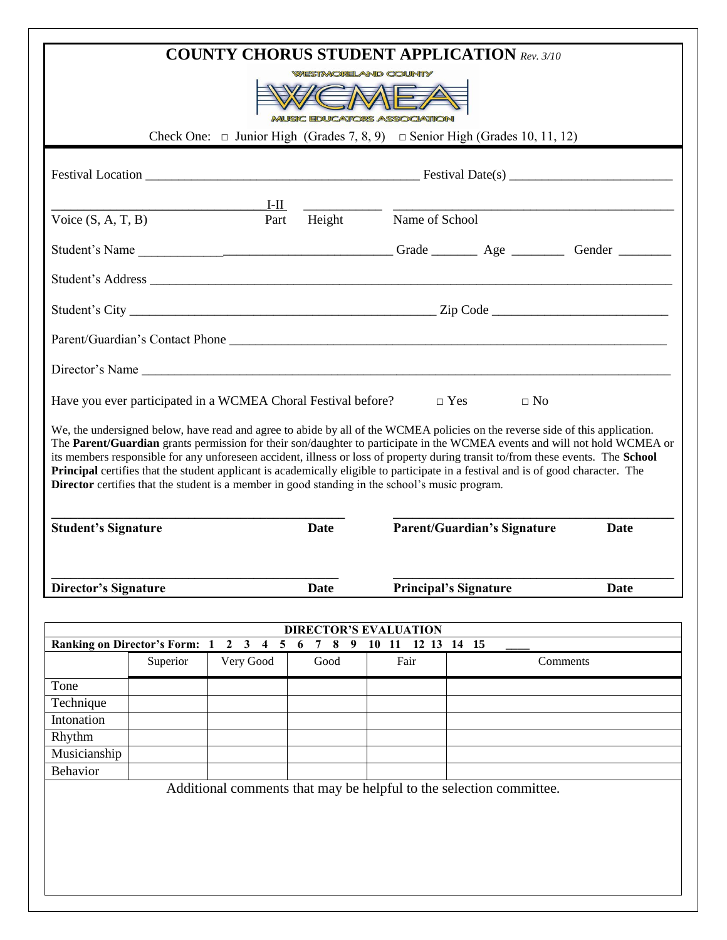|                                      |          |                                                                                                   |                                         |                                                                                                        | <b>COUNTY CHORUS STUDENT APPLICATION Rev. 3/10</b>                                                                                                                                                                                                                            |                                                                                                                            |  |
|--------------------------------------|----------|---------------------------------------------------------------------------------------------------|-----------------------------------------|--------------------------------------------------------------------------------------------------------|-------------------------------------------------------------------------------------------------------------------------------------------------------------------------------------------------------------------------------------------------------------------------------|----------------------------------------------------------------------------------------------------------------------------|--|
|                                      |          |                                                                                                   |                                         | <b>WESTMORELAND COUNTY</b>                                                                             |                                                                                                                                                                                                                                                                               |                                                                                                                            |  |
|                                      |          |                                                                                                   |                                         | <b>MUSIC EDUCATORS ASSOCIATION</b>                                                                     |                                                                                                                                                                                                                                                                               |                                                                                                                            |  |
|                                      |          |                                                                                                   |                                         |                                                                                                        | Check One: $\Box$ Junior High (Grades 7, 8, 9) $\Box$ Senior High (Grades 10, 11, 12)                                                                                                                                                                                         |                                                                                                                            |  |
|                                      |          |                                                                                                   |                                         |                                                                                                        |                                                                                                                                                                                                                                                                               |                                                                                                                            |  |
|                                      |          | $I-I$                                                                                             |                                         |                                                                                                        |                                                                                                                                                                                                                                                                               |                                                                                                                            |  |
| Voice $(S, A, T, B)$                 | Part     |                                                                                                   |                                         |                                                                                                        | Height Name of School                                                                                                                                                                                                                                                         |                                                                                                                            |  |
|                                      |          |                                                                                                   |                                         |                                                                                                        |                                                                                                                                                                                                                                                                               |                                                                                                                            |  |
|                                      |          |                                                                                                   |                                         |                                                                                                        |                                                                                                                                                                                                                                                                               |                                                                                                                            |  |
|                                      |          |                                                                                                   |                                         |                                                                                                        |                                                                                                                                                                                                                                                                               |                                                                                                                            |  |
|                                      |          |                                                                                                   |                                         |                                                                                                        |                                                                                                                                                                                                                                                                               |                                                                                                                            |  |
|                                      |          |                                                                                                   |                                         |                                                                                                        |                                                                                                                                                                                                                                                                               |                                                                                                                            |  |
|                                      |          |                                                                                                   |                                         |                                                                                                        | Have you ever participated in a WCMEA Choral Festival before? $\square$ Yes $\square$ No                                                                                                                                                                                      |                                                                                                                            |  |
|                                      |          |                                                                                                   |                                         | <b>Director</b> certifies that the student is a member in good standing in the school's music program. | its members responsible for any unforeseen accident, illness or loss of property during transit to/from these events. The School<br><b>Principal</b> certifies that the student applicant is academically eligible to participate in a festival and is of good character. The | The Parent/Guardian grants permission for their son/daughter to participate in the WCMEA events and will not hold WCMEA or |  |
| <b>Student's Signature</b>           |          |                                                                                                   | <b>Date</b>                             |                                                                                                        | <b>Parent/Guardian's Signature</b><br>Date                                                                                                                                                                                                                                    |                                                                                                                            |  |
| <b>Director's Signature</b>          |          |                                                                                                   | <b>Date</b>                             |                                                                                                        | <b>Principal's Signature</b><br><b>Date</b>                                                                                                                                                                                                                                   |                                                                                                                            |  |
|                                      |          |                                                                                                   |                                         |                                                                                                        |                                                                                                                                                                                                                                                                               |                                                                                                                            |  |
|                                      |          |                                                                                                   |                                         | <b>DIRECTOR'S EVALUATION</b>                                                                           |                                                                                                                                                                                                                                                                               |                                                                                                                            |  |
| <b>Ranking on Director's Form: 1</b> | Superior | $\mathbf{3}$<br>$\overline{\mathbf{5}}$<br>$\overline{2}$<br>$\overline{\mathbf{4}}$<br>Very Good | 8<br>9<br>$\overline{7}$<br>- 6<br>Good | 10<br>11<br>Fair                                                                                       | 12 13 14 15                                                                                                                                                                                                                                                                   | Comments                                                                                                                   |  |
| Tone                                 |          |                                                                                                   |                                         |                                                                                                        |                                                                                                                                                                                                                                                                               |                                                                                                                            |  |
| Technique                            |          |                                                                                                   |                                         |                                                                                                        |                                                                                                                                                                                                                                                                               |                                                                                                                            |  |
| Intonation                           |          |                                                                                                   |                                         |                                                                                                        |                                                                                                                                                                                                                                                                               |                                                                                                                            |  |
| Rhythm                               |          |                                                                                                   |                                         |                                                                                                        |                                                                                                                                                                                                                                                                               |                                                                                                                            |  |
| Musicianship                         |          |                                                                                                   |                                         |                                                                                                        |                                                                                                                                                                                                                                                                               |                                                                                                                            |  |
|                                      |          |                                                                                                   |                                         |                                                                                                        |                                                                                                                                                                                                                                                                               |                                                                                                                            |  |
| <b>Behavior</b>                      |          |                                                                                                   |                                         |                                                                                                        |                                                                                                                                                                                                                                                                               |                                                                                                                            |  |
|                                      |          |                                                                                                   |                                         |                                                                                                        | Additional comments that may be helpful to the selection committee.                                                                                                                                                                                                           |                                                                                                                            |  |
|                                      |          |                                                                                                   |                                         |                                                                                                        |                                                                                                                                                                                                                                                                               |                                                                                                                            |  |
|                                      |          |                                                                                                   |                                         |                                                                                                        |                                                                                                                                                                                                                                                                               |                                                                                                                            |  |